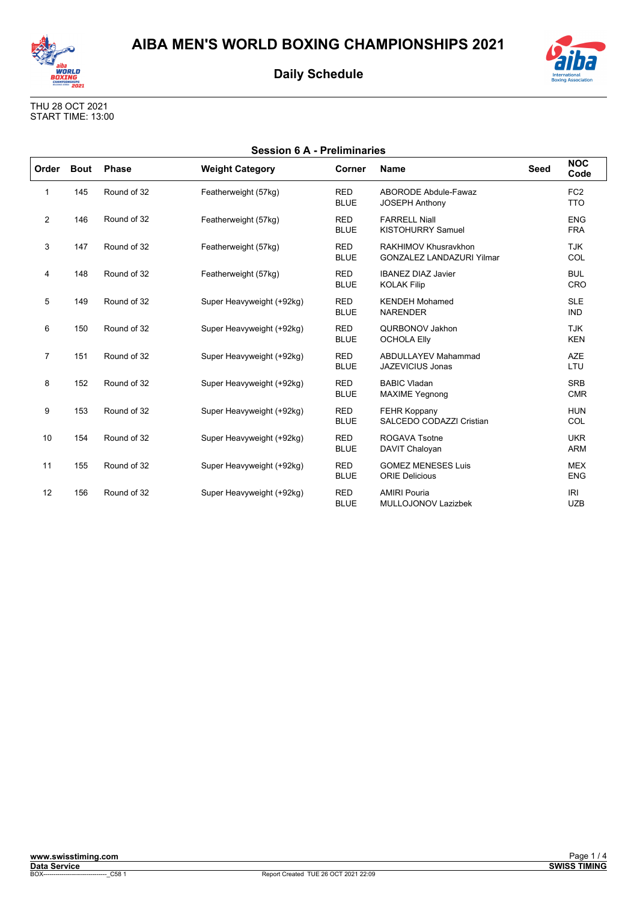



THU 28 OCT 2021 START TIME: 13:00

| <b>Session 6 A - Preliminaries</b> |             |              |                           |                           |                                                          |      |                               |
|------------------------------------|-------------|--------------|---------------------------|---------------------------|----------------------------------------------------------|------|-------------------------------|
| Order                              | <b>Bout</b> | <b>Phase</b> | <b>Weight Category</b>    | Corner                    | <b>Name</b>                                              | Seed | <b>NOC</b><br>Code            |
| 1                                  | 145         | Round of 32  | Featherweight (57kg)      | <b>RED</b><br><b>BLUE</b> | ABORODE Abdule-Fawaz<br><b>JOSEPH Anthony</b>            |      | FC <sub>2</sub><br><b>TTO</b> |
| 2                                  | 146         | Round of 32  | Featherweight (57kg)      | <b>RED</b><br><b>BLUE</b> | <b>FARRELL Niall</b><br><b>KISTOHURRY Samuel</b>         |      | <b>ENG</b><br><b>FRA</b>      |
| 3                                  | 147         | Round of 32  | Featherweight (57kg)      | <b>RED</b><br><b>BLUE</b> | RAKHIMOV Khusravkhon<br><b>GONZALEZ LANDAZURI Yilmar</b> |      | <b>TJK</b><br>COL             |
| 4                                  | 148         | Round of 32  | Featherweight (57kg)      | <b>RED</b><br><b>BLUE</b> | <b>IBANEZ DIAZ Javier</b><br><b>KOLAK Filip</b>          |      | <b>BUL</b><br>CRO             |
| 5                                  | 149         | Round of 32  | Super Heavyweight (+92kg) | <b>RED</b><br><b>BLUE</b> | <b>KENDEH Mohamed</b><br><b>NARENDER</b>                 |      | <b>SLE</b><br><b>IND</b>      |
| 6                                  | 150         | Round of 32  | Super Heavyweight (+92kg) | <b>RED</b><br><b>BLUE</b> | QURBONOV Jakhon<br><b>OCHOLA Elly</b>                    |      | <b>TJK</b><br><b>KEN</b>      |
| $\overline{7}$                     | 151         | Round of 32  | Super Heavyweight (+92kg) | <b>RED</b><br><b>BLUE</b> | <b>ABDULLAYEV Mahammad</b><br>JAZEVICIUS Jonas           |      | <b>AZE</b><br>LTU             |
| 8                                  | 152         | Round of 32  | Super Heavyweight (+92kg) | <b>RED</b><br><b>BLUE</b> | <b>BABIC Vladan</b><br><b>MAXIME Yegnong</b>             |      | <b>SRB</b><br><b>CMR</b>      |
| 9                                  | 153         | Round of 32  | Super Heavyweight (+92kg) | <b>RED</b><br><b>BLUE</b> | <b>FEHR Koppany</b><br>SALCEDO CODAZZI Cristian          |      | <b>HUN</b><br>COL             |
| 10                                 | 154         | Round of 32  | Super Heavyweight (+92kg) | <b>RED</b><br><b>BLUE</b> | ROGAVA Tsotne<br>DAVIT Chaloyan                          |      | <b>UKR</b><br><b>ARM</b>      |
| 11                                 | 155         | Round of 32  | Super Heavyweight (+92kg) | <b>RED</b><br><b>BLUE</b> | <b>GOMEZ MENESES Luis</b><br><b>ORIE Delicious</b>       |      | <b>MEX</b><br><b>ENG</b>      |
| 12                                 | 156         | Round of 32  | Super Heavyweight (+92kg) | <b>RED</b><br><b>BLUE</b> | <b>AMIRI Pouria</b><br><b>MULLOJONOV Lazizbek</b>        |      | <b>IRI</b><br><b>UZB</b>      |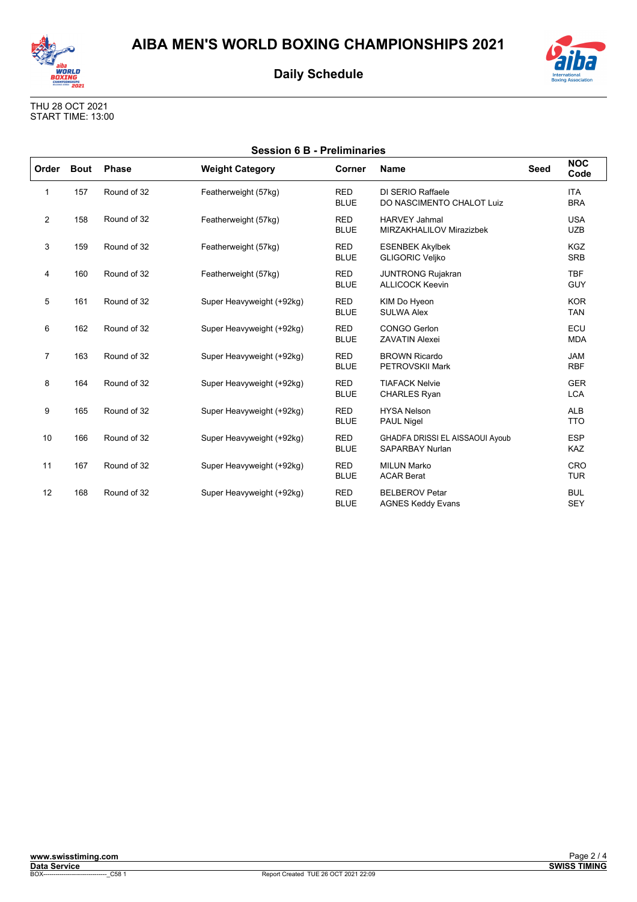



THU 28 OCT 2021 START TIME: 13:00

| <b>Session 6 B - Preliminaries</b> |             |              |                           |                           |                                                           |             |                          |
|------------------------------------|-------------|--------------|---------------------------|---------------------------|-----------------------------------------------------------|-------------|--------------------------|
| Order                              | <b>Bout</b> | <b>Phase</b> | <b>Weight Category</b>    | Corner                    | <b>Name</b>                                               | <b>Seed</b> | <b>NOC</b><br>Code       |
| $\mathbf{1}$                       | 157         | Round of 32  | Featherweight (57kg)      | <b>RED</b><br><b>BLUE</b> | DI SERIO Raffaele<br>DO NASCIMENTO CHALOT Luiz            |             | <b>ITA</b><br><b>BRA</b> |
| $\overline{2}$                     | 158         | Round of 32  | Featherweight (57kg)      | <b>RED</b><br><b>BLUE</b> | <b>HARVEY Jahmal</b><br>MIRZAKHALILOV Mirazizbek          |             | <b>USA</b><br><b>UZB</b> |
| 3                                  | 159         | Round of 32  | Featherweight (57kg)      | <b>RED</b><br><b>BLUE</b> | <b>ESENBEK Akylbek</b><br><b>GLIGORIC Veliko</b>          |             | <b>KGZ</b><br><b>SRB</b> |
| 4                                  | 160         | Round of 32  | Featherweight (57kg)      | <b>RED</b><br><b>BLUE</b> | <b>JUNTRONG Rujakran</b><br><b>ALLICOCK Keevin</b>        |             | <b>TBF</b><br><b>GUY</b> |
| 5                                  | 161         | Round of 32  | Super Heavyweight (+92kg) | <b>RED</b><br><b>BLUE</b> | KIM Do Hyeon<br><b>SULWA Alex</b>                         |             | <b>KOR</b><br><b>TAN</b> |
| 6                                  | 162         | Round of 32  | Super Heavyweight (+92kg) | <b>RED</b><br><b>BLUE</b> | <b>CONGO Gerlon</b><br><b>ZAVATIN Alexei</b>              |             | ECU<br><b>MDA</b>        |
| $\overline{7}$                     | 163         | Round of 32  | Super Heavyweight (+92kg) | <b>RED</b><br><b>BLUE</b> | <b>BROWN Ricardo</b><br>PETROVSKII Mark                   |             | <b>JAM</b><br><b>RBF</b> |
| 8                                  | 164         | Round of 32  | Super Heavyweight (+92kg) | <b>RED</b><br><b>BLUE</b> | <b>TIAFACK Nelvie</b><br><b>CHARLES Ryan</b>              |             | <b>GER</b><br><b>LCA</b> |
| 9                                  | 165         | Round of 32  | Super Heavyweight (+92kg) | <b>RED</b><br><b>BLUE</b> | <b>HYSA Nelson</b><br>PAUL Nigel                          |             | <b>ALB</b><br><b>TTO</b> |
| 10                                 | 166         | Round of 32  | Super Heavyweight (+92kg) | <b>RED</b><br><b>BLUE</b> | GHADFA DRISSI EL AISSAOUI Ayoub<br><b>SAPARBAY Nurlan</b> |             | <b>ESP</b><br><b>KAZ</b> |
| 11                                 | 167         | Round of 32  | Super Heavyweight (+92kg) | <b>RED</b><br><b>BLUE</b> | <b>MILUN Marko</b><br><b>ACAR Berat</b>                   |             | <b>CRO</b><br><b>TUR</b> |
| 12                                 | 168         | Round of 32  | Super Heavyweight (+92kg) | <b>RED</b><br><b>BLUE</b> | <b>BELBEROV Petar</b><br><b>AGNES Keddy Evans</b>         |             | <b>BUL</b><br><b>SEY</b> |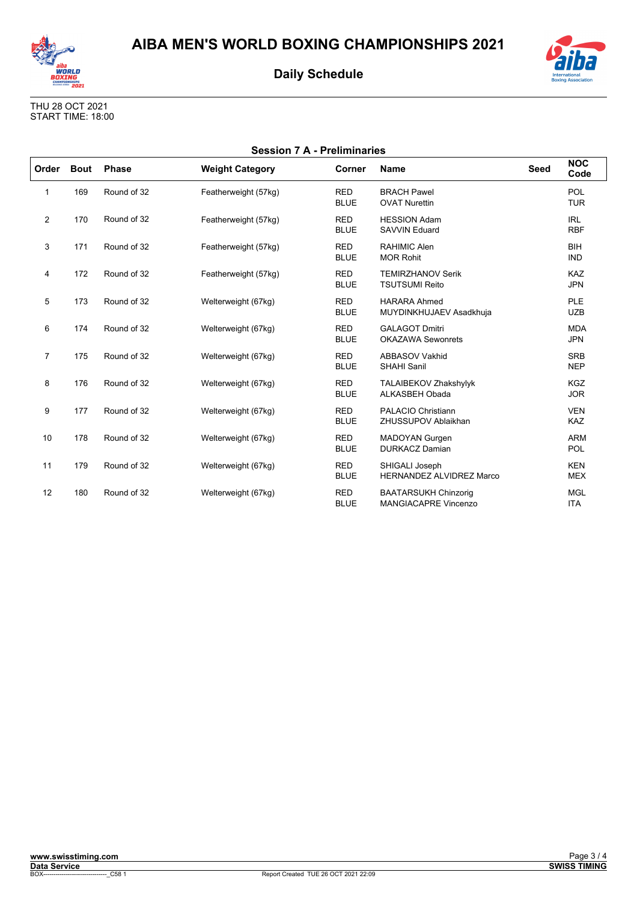



| <b>International</b>      |  |
|---------------------------|--|
| <b>Boxing Association</b> |  |

| <b>Session 7 A - Preliminaries</b> |             |              |                        |                           |                                                            |             |                          |  |
|------------------------------------|-------------|--------------|------------------------|---------------------------|------------------------------------------------------------|-------------|--------------------------|--|
| Order                              | <b>Bout</b> | <b>Phase</b> | <b>Weight Category</b> | Corner                    | <b>Name</b>                                                | <b>Seed</b> | <b>NOC</b><br>Code       |  |
| 1                                  | 169         | Round of 32  | Featherweight (57kg)   | <b>RED</b><br><b>BLUE</b> | <b>BRACH Pawel</b><br><b>OVAT Nurettin</b>                 |             | POL<br><b>TUR</b>        |  |
| $\overline{2}$                     | 170         | Round of 32  | Featherweight (57kg)   | <b>RED</b><br><b>BLUE</b> | <b>HESSION Adam</b><br><b>SAVVIN Eduard</b>                |             | <b>IRL</b><br><b>RBF</b> |  |
| 3                                  | 171         | Round of 32  | Featherweight (57kg)   | <b>RED</b><br><b>BLUE</b> | <b>RAHIMIC Alen</b><br><b>MOR Rohit</b>                    |             | <b>BIH</b><br><b>IND</b> |  |
| 4                                  | 172         | Round of 32  | Featherweight (57kg)   | <b>RED</b><br><b>BLUE</b> | <b>TEMIRZHANOV Serik</b><br><b>TSUTSUMI Reito</b>          |             | <b>KAZ</b><br><b>JPN</b> |  |
| 5                                  | 173         | Round of 32  | Welterweight (67kg)    | <b>RED</b><br><b>BLUE</b> | <b>HARARA Ahmed</b><br>MUYDINKHUJAEV Asadkhuja             |             | PLE<br><b>UZB</b>        |  |
| 6                                  | 174         | Round of 32  | Welterweight (67kg)    | <b>RED</b><br><b>BLUE</b> | <b>GALAGOT Dmitri</b><br><b>OKAZAWA Sewonrets</b>          |             | <b>MDA</b><br><b>JPN</b> |  |
| $\overline{7}$                     | 175         | Round of 32  | Welterweight (67kg)    | <b>RED</b><br><b>BLUE</b> | ABBASOV Vakhid<br><b>SHAHI Sanil</b>                       |             | <b>SRB</b><br><b>NEP</b> |  |
| 8                                  | 176         | Round of 32  | Welterweight (67kg)    | <b>RED</b><br><b>BLUE</b> | TALAIBEKOV Zhakshylyk<br><b>ALKASBEH Obada</b>             |             | <b>KGZ</b><br><b>JOR</b> |  |
| 9                                  | 177         | Round of 32  | Welterweight (67kg)    | <b>RED</b><br><b>BLUE</b> | <b>PALACIO Christiann</b><br>ZHUSSUPOV Ablaikhan           |             | <b>VEN</b><br>KAZ        |  |
| 10                                 | 178         | Round of 32  | Welterweight (67kg)    | <b>RED</b><br><b>BLUE</b> | <b>MADOYAN Gurgen</b><br><b>DURKACZ Damian</b>             |             | <b>ARM</b><br>POL        |  |
| 11                                 | 179         | Round of 32  | Welterweight (67kg)    | <b>RED</b><br><b>BLUE</b> | SHIGALI Joseph<br><b>HERNANDEZ ALVIDREZ Marco</b>          |             | <b>KEN</b><br><b>MEX</b> |  |
| 12                                 | 180         | Round of 32  | Welterweight (67kg)    | <b>RED</b><br><b>BLUE</b> | <b>BAATARSUKH Chinzorig</b><br><b>MANGIACAPRE Vincenzo</b> |             | <b>MGL</b><br><b>ITA</b> |  |